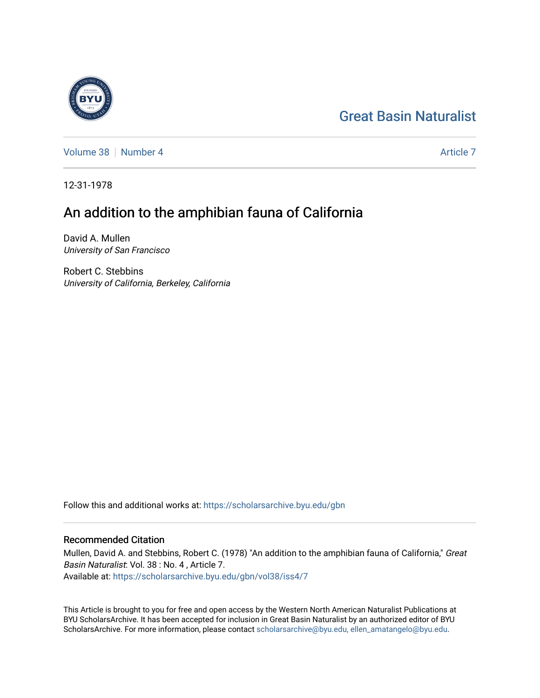## [Great Basin Naturalist](https://scholarsarchive.byu.edu/gbn)



[Volume 38](https://scholarsarchive.byu.edu/gbn/vol38) [Number 4](https://scholarsarchive.byu.edu/gbn/vol38/iss4) [Article 7](https://scholarsarchive.byu.edu/gbn/vol38/iss4/7) Article 7 Article 7 Article 7 Article 7 Article 7 Article 7

12-31-1978

# An addition to the amphibian fauna of California

David A. Mullen University of San Francisco

Robert C. Stebbins University of California, Berkeley, California

Follow this and additional works at: [https://scholarsarchive.byu.edu/gbn](https://scholarsarchive.byu.edu/gbn?utm_source=scholarsarchive.byu.edu%2Fgbn%2Fvol38%2Fiss4%2F7&utm_medium=PDF&utm_campaign=PDFCoverPages) 

## Recommended Citation

Mullen, David A. and Stebbins, Robert C. (1978) "An addition to the amphibian fauna of California," Great Basin Naturalist: Vol. 38 : No. 4 , Article 7. Available at: [https://scholarsarchive.byu.edu/gbn/vol38/iss4/7](https://scholarsarchive.byu.edu/gbn/vol38/iss4/7?utm_source=scholarsarchive.byu.edu%2Fgbn%2Fvol38%2Fiss4%2F7&utm_medium=PDF&utm_campaign=PDFCoverPages)

This Article is brought to you for free and open access by the Western North American Naturalist Publications at BYU ScholarsArchive. It has been accepted for inclusion in Great Basin Naturalist by an authorized editor of BYU ScholarsArchive. For more information, please contact [scholarsarchive@byu.edu, ellen\\_amatangelo@byu.edu.](mailto:scholarsarchive@byu.edu,%20ellen_amatangelo@byu.edu)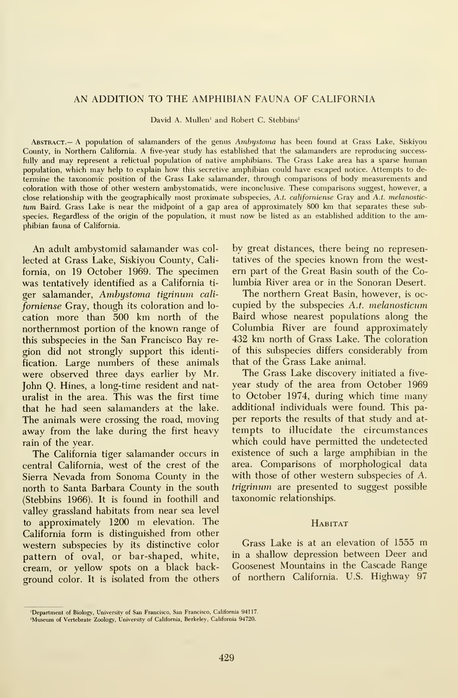## AN ADDITION TO THE AMPHIBIAN FAUNA OF CALIFORNIA

David A. Mullen' and Robert C. Stebbins'

Abstract.— a population of salamanders of the genus Ambystoma has been found at Grass Lake, Siskiyou County, in Northern California. A five-year study has established that the salamanders are reproducing successfully and may represent a relictual population of native amphibians. The Grass Lake area has a sparse human population, which may help to explain how this secretive amphibian could have escaped notice. Attempts to de termine the taxonomic position of the Grass Lake salamander, through comparisons of body measurements and coloration with those of other western ambystomatids, were inconclusive. These comparisons suggest, however, a close relationship with the geographically most proximate subspecies, A.t. californiense Gray and A.t. melanostictum Baird. Grass Lake is near the midpoint of <sup>a</sup> gap area of approximately 800 km that separates these subspecies. Regardless of the origin of the population, it must now be listed as an established addition to the amphibian fauna of California.

An adult ambystomid salamander was col lected at Grass Lake, Siskiyou County, California, on 19 October 1969. The specimen was tentatively identified as a California ti ger salamander, Ambystoma tigrinum cali forniense Gray, though its coloration and lo cation more than 500 km north of the northernmost portion of the known range of this subspecies in the San Francisco Bay re gion did not strongly support this identification. Large numbers of these animals were observed three days earlier by Mr. John Q. Hines, a long-time resident and naturalist in the area. This was the first time that he had seen salamanders at the lake. The animals were crossing the road, moving away from the lake during the first heavy rain of the year.

The California tiger salamander occurs in central California, west of the crest of the Sierra Nevada from Sonoma County in the north to Santa Barbara County in the south (Stebbins 1966). It is found in foothill and valley grassland habitats from near sea level to approximately <sup>1200</sup> m elevation. The California form is distinguished from other western subspecies by its distinctive color pattern of oval, or bar-shaped, white, cream, or yellow spots on a black background color. It is isolated from the others

by great distances, there being no representatives of the species known from the west em part of the Great Basin south of the Columbia River area or in the Sonoran Desert.

The northern Great Basin, however, is oc cupied by the subspecies A.t. melanosticum Baird whose nearest populations along the Columbia River are found approximately 432 km north of Grass Lake. The coloration of this subspecies differs considerably from that of the Grass Lake animal.

The Grass Lake discovery initiated a five year study of the area from October 1969 to October 1974, during which time many additional individuals were found. This pa per reports the results of that study and at tempts to illucidate the circumstances which could have permitted the undetected existence of such a large amphibian in the area. Comparisons of morphological data with those of other western subspecies of A. trigrinum are presented to suggest possible taxonomic relationships.

## **HABITAT**

Grass Lake is at an elevation of <sup>1555</sup> m in a shallow depression between Deer and Goosenest Mountains in the Cascade Range of northern California. U.S. Highway 97

<sup>&#</sup>x27;Department of Biology, University of San Francisco, San Francisco, California 94117.

<sup>&#</sup>x27;Museum of Vertebrate Zoology, University of California, Berkeley, California 94720.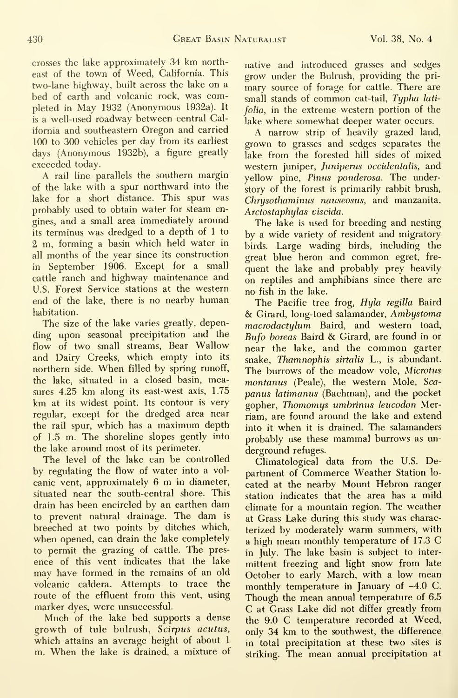crosses the lake approximately 34 km northeast of the town of Weed, California. This two-lane highway, built across the lake on a bed of earth and volcanic rock, was completed in May 1932 (Anonymous 1932a). It is a well-used roadway between central California and southeastern Oregon and carried 100 to 300 vehicles per day from its earliest days (Anonymous 1932b), a figure greatly exceeded today.

A rail line parallels the southern margin of the lake with a spur northward into the lake for a short distance. This spur was probably used to obtain water for steam engines, and a small area immediately around its terminus was dredged to a depth of <sup>1</sup> to 2 m, forming a basin which held water in all months of the year since its construction in September 1906. Except for a small cattle ranch and highway maintenance and U.S. Forest Service stations at the western end of the lake, there is no nearby human habitation.

The size of the lake varies greatly, depending upon seasonal precipitation and the flow of two small streams. Bear Wallow and Dairy Creeks, which empty into its northern side. When filled by spring runoff, the lake, situated in a closed basin, measures 4.25 km along its east-west axis, 1.75 km at its widest point. Its contour is very regular, except for the dredged area near the rail spur, which has a maximum depth of 1.5 m. The shoreline slopes gently into the lake around most of its perimeter.

The level of the lake can be controlled by regulating the flow of water into a vol canic vent, approximately <sup>6</sup> m in diameter, situated near the south-central shore. This drain has been encircled by an earthen dam to prevent natural drainage. The dam is breeched at two points by ditches which, when opened, can drain the lake completely to permit the grazing of cattle. The pres ence of this vent indicates that the lake may have formed in the remains of an old volcanic caldera. Attempts to trace the route of the effluent from this vent, using marker dyes, were unsuccessful.

Much of the lake bed supports <sup>a</sup> dense growth of tule bulrush, Scirpus acutus, which attains an average height of about <sup>1</sup> m. When the lake is drained, <sup>a</sup> mixture of native and introduced grasses and sedges grow under the Bulrush, providing the primary source of forage for cattle. There are small stands of common cat-tail, Typha latifolia, in the extreme western portion of the lake where somewhat deeper water occurs.

A narrow strip of heavily grazed land, grown to grasses and sedges separates the lake from the forested hill sides of mixed western juniper, Juniperus occidentalis, and yellow pine, Pinus ponderosa. The understory of the forest is primarily rabbit brush, Chrysothaminus nauseosus, and manzanita, Arctostaphylas viscida.

The lake is used for breeding and nesting by a wide variety of resident and migratory birds. Large wading birds, including the great blue heron and common egret, fre quent the lake and probably prey heavily on reptiles and amphibians since there are no fish in the lake.

The Pacific tree frog, Hyla regilla Baird & Girard, long-toed salamander, Ambystoma macrodactylum Baird, and western toad, Bufo horeas Baird & Girard, are found in or near the lake, and the common garter snake, Thamnophis sirtalis L., is abundant. The burrows of the meadow vole, Microtus montanus (Peale), the western Mole, Scapanus latimanus (Bachman), and the pocket gopher, Thomomys umbrinus leucodon Merriam, are found around the lake and extend into it when it is drained. The salamanders probably use these mammal burrows as un derground refuges.

Climatological data from the U.S. Department of Commerce Weather Station lo cated at the nearby Mount Hebron ranger station indicates that the area has a mild climate for a mountain region. The weather at Grass Lake during this study was characterized by moderately warm summers, with <sup>a</sup> high mean monthly temperature of 17.3 C in July. The lake basin is subject to inter mittent freezing and light snow from late October to early March, with a low mean monthly temperature in January of -4.0 C. Though the mean annual temperature of 6.5 C at Grass Lake did not differ greatly from the 9.0 C temperature recorded at Weed, only 34 km to the southwest, the difference in total precipitation at these two sites is striking. The mean annual precipitation at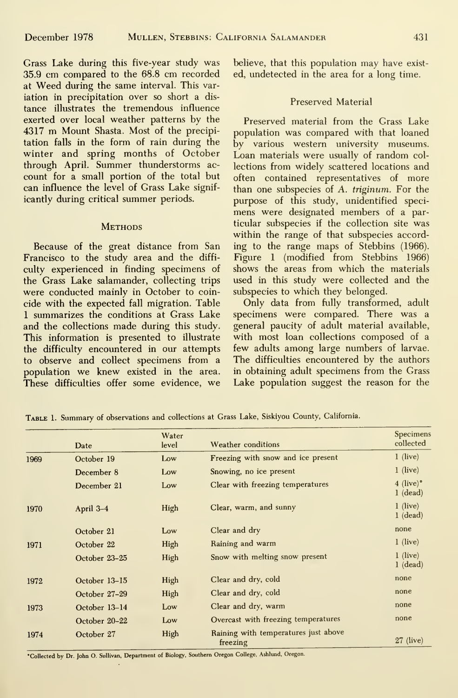Grass Lake during this five-year study was 35.9 cm compared to the 68.8 cm recorded at Weed during the same interval. This variation in precipitation over so short a dis tance illustrates the tremendous influence exerted over local weather patterns by the <sup>4317</sup> m Mount Shasta. Most of the precipitation falls in the form of rain during the winter and spring months of October through April. Summer thunderstorms ac count for a small portion of the total but can influence the level of Grass Lake significantly during critical summer periods.

### **METHODS**

Because of the great distance from San Francisco to the study area and the diffi culty experienced in finding specimens of the Grass Lake salamander, collecting trips were conducted mainly in October to coincide with the expected fall migration. Table <sup>1</sup> summarizes the conditions at Grass Lake and the collections made during this study. This information is presented to illustrate the difficulty encountered in our attempts to observe and collect specimens from a population we knew existed in the area. These difficulties offer some evidence, we believe, that this population may have exist ed, undetected in the area for a long time.

## Preserved Material

Preserved material from the Grass Lake population was compared with that loaned by various western university museums. Loan materials were usually of random col lections from widely scattered locations and often contained representatives of more than one subspecies of A. triginum. For the purpose of this study, unidentified speci mens were designated members of a particular subspecies if the collection site was within the range of that subspecies according to the range maps of Stebbins (1966). Figure <sup>1</sup> (modified from Stebbins 1966) shows the areas from which the materials used in this study were collected and the subspecies to which they belonged.

Only data from fully transformed, adult specimens were compared. There was a general paucity of adult material available, with most loan collections composed of a few adults among large numbers of larvae. The difficulties encountered by the authors in obtaining adult specimens from the Grass Lake population suggest the reason for the

|      | Date          | Water<br>level | Weather conditions                                              | Specimens<br>collected              |
|------|---------------|----------------|-----------------------------------------------------------------|-------------------------------------|
| 1969 | October 19    | Low            | Freezing with snow and ice present                              | $1$ (live)                          |
|      | December 8    | Low            | Snowing, no ice present                                         | $1$ (live)                          |
|      | December 21   | Low            | Clear with freezing temperatures                                | $4$ (live) $^{\circ}$<br>$1$ (dead) |
| 1970 | April 3-4     | High           | Clear, warm, and sunny                                          | $1$ (live)<br>$1$ (dead)            |
|      | October 21    | Low            | Clear and dry                                                   | none                                |
| 1971 | October 22    | High           | Raining and warm                                                | $1$ (live)                          |
|      | October 23-25 | High           | Snow with melting snow present                                  | $1$ (live)<br>$1$ (dead)            |
| 1972 | October 13-15 | High           | Clear and dry, cold                                             | none                                |
|      | October 27-29 | High           | Clear and dry, cold                                             | none                                |
| 1973 | October 13-14 | Low            | Clear and dry, warm                                             | none                                |
|      | October 20-22 | Low            | Overcast with freezing temperatures                             | none                                |
| 1974 | October 27    | High           | Raining with temperatures just above<br>$27$ (live)<br>freezing |                                     |

TABLE 1. Summary of observations and collections at Grass Lake, Siskiyou County, California.

\*Collected by Dr. John O. Sullivan, Department of Biology, Southern Oregon College, Ashlund, Oregon.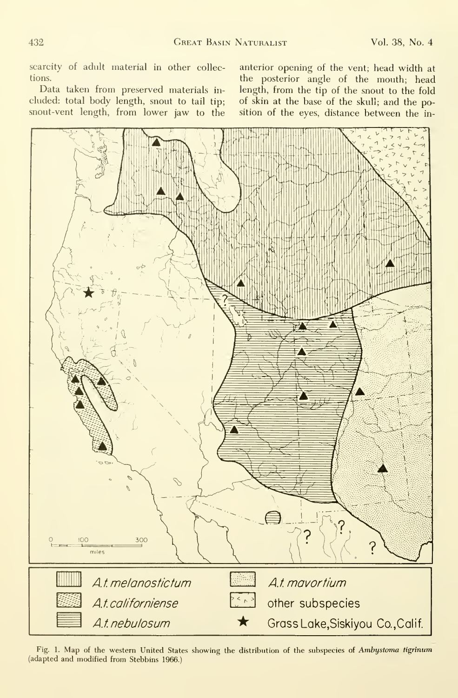scarcity of adult material in other collec-<br>the posterior angle of the mouth: head<br>tions.

eluded: total body length, snout to tail tip; of skin at the base of the skull; and the po-<br>snout-vent length, from lower jaw to the sition of the eyes, distance between the in-

the posterior angle of the mouth; head<br>Data taken from preserved materials in-<br>length, from the tip of the snout to the fold Data taken from preserved materials in-<br>cliength, from the tip of the snout to the fold<br>cluded: total body length, snout to tail tip; of skin at the base of the skull; and the position of the eyes, distance between the in-



Fig. 1. Map of the western United States showing the distribution of the subspecies of Ambystoma tigrinum (adapted and modified from Stebbins 1966.)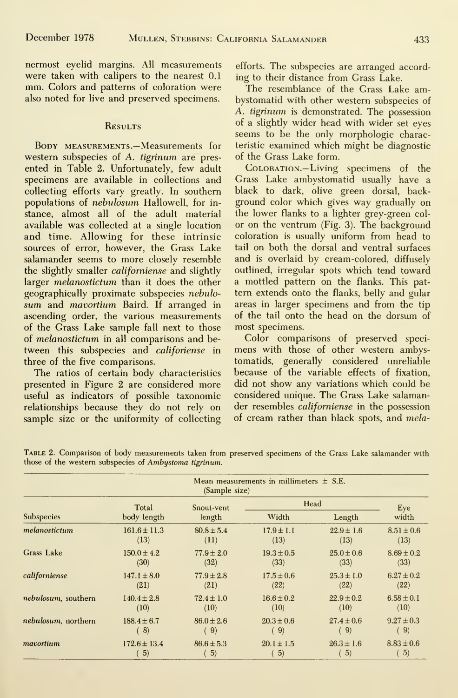nermost eyelid margins. All measurements were taken with calipers to the nearest 0.1 mm. Colors and patterns of coloration were also noted for live and preserved specimens.

## **RESULTS**

Body measurements.—Measurements for western subspecies of A. tigrinum are pres ented in Table 2. Unfortunately, few adult specimens are available in collections and collecting efforts vary greatly. In southern populations of nebulosum Hallowell, for in stance, almost all of the adult material available was collected at a single location and time. Allowing for these intrinsic sources of error, however, the Grass Lake salamander seems to more closely resemble the slightly smaller californiense and slightly larger melanostictum than it does the other geographically proximate subspecies nebulosum and mavortium Baird. If arranged in ascending order, the various measurements of the Grass Lake sample fall next to those of melanostictum in all comparisons and be tween this subspecies and *califoriense* in three of the five comparisons.

The ratios of certain body characteristics presented in Figure 2 are considered more useful as indicators of possible taxonomic relationships because they do not rely on sample size or the uniformity of collecting efforts. The subspecies are arranged according to their distance from Grass Lake.

The resemblance of the Grass Lake ambystomatid with other western subspecies of A. tigrinum is demonstrated. The possession of a slightly wider head with wider set eyes seems to be the only morphologic characteristic examined which might be diagnostic of the Grass Lake form.

Coloration.—Living specimens of the Grass Lake ambystomatid usually have a black to dark, olive green dorsal, background color which gives way gradually on the lower flanks to a lighter grey-green col or on the ventrum (Fig. 3). The background coloration is usually uniform from head to tail on both the dorsal and ventral surfaces and is overlaid by cream-colored, diffusely outlined, irregular spots which tend toward a mottled pattern on the flanks. This pat tern extends onto the flanks, belly and gular areas in larger specimens and from the tip of the tail onto the head on the dorsum of most specimens.

Color comparisons of preserved speci mens with those of other western ambystomatids, generally considered unreliable because of the variable effects of fixation, did not show any variations which could be considered unique. The Grass Lake salamander resembles californiense in the possession of cream rather than black spots, and mela-

|                     | Total            | Snout-vent<br>length | Head           |                   | Eye            |
|---------------------|------------------|----------------------|----------------|-------------------|----------------|
| Subspecies          | body length      |                      | Width          | Length            | width          |
| melanostictum       | $161.6 \pm 11.3$ | $80.8 \pm 5.4$       | $17.9 \pm 1.1$ | $22.9 \pm 1.6$    | $8.51 \pm 0.6$ |
|                     | (13)             | (11)                 | (13)           | (13)              | (13)           |
| Grass Lake          | $150.0 \pm 4.2$  | $77.9 \pm 2.0$       | $19.3 \pm 0.5$ | $25.0 \pm 0.6$    | $8.69 \pm 0.2$ |
|                     | (30)             | (32)                 | (33)           | (33)              | (33)           |
| californiense       | $147.1 \pm 8.0$  | $77.9 \pm 2.8$       | $17.5 \pm 0.6$ | $25.3 \pm 1.0$    | $6.27 \pm 0.2$ |
|                     | (21)             | (21)                 | (22)           | (22)              | (22)           |
| nebulosum, southern | $140.4 \pm 2.8$  | $72.4 \pm 1.0$       | $16.6 \pm 0.2$ | $22.9 \pm 0.2$    | $6.58 \pm 0.1$ |
|                     | (10)             | (10)                 | (10)           | (10)              | (10)           |
| nebulosum, northern | $188.4 \pm 6.7$  | $86.0 \pm 2.6$       | $20.3 \pm 0.6$ | $27.4 \pm 0.6$    | $9.27 \pm 0.3$ |
|                     | (8)              | (9)                  | (9)            | $\vert 9 \rangle$ | (9)            |
| mavortium           | $172.6 \pm 13.4$ | $86.6 \pm 5.3$       | $20.1 \pm 1.5$ | $26.3 \pm 1.6$    | $8.83 \pm 0.6$ |
|                     | 5)               | 5)                   | 5)             | 5)                | 5)             |

Table 2. Comparison of body measurements taken from preserved specimens of the Grass Lake salamander with those of the western subspecies of Ambystoma tigrinum.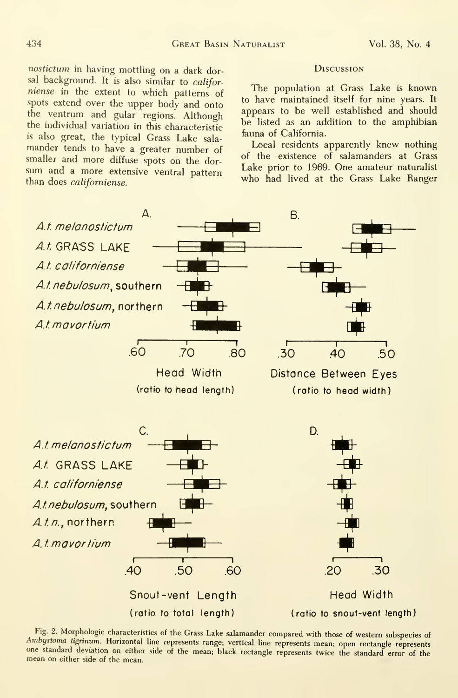nostictum in having mottling on <sup>a</sup> dark dorsal background. It is also similar to californiense in the extent to which patterns of spots extend over the upper body and onto the ventrum and gular regions. Although the individual variation in this characteristic is also great, the typical Grass Lake sala mander tends to have <sup>a</sup> greater number of smaller and more diffuse spots on the dor sum and <sup>a</sup> more extensive ventral pattern than does californiense.

## **Discussion**

The population at Grass Lake is known to have maintained itself for nine years. It appears to be well established and should be listed as an addition to the amphibian fauna of California.

Local residents apparently knew nothing of the existence of salamanders at Grass Lake prior to 1969. One amateur naturalist who had lived at the Grass Lake Ranger



Fig. 2. Morphologic characteristics of the Grass Lake salamander compared with those of western subspecies of Ambystoma tigrinum. Horizontal line represents range; vertical line represents mean; open rectangle represents one standard deviation on either side of the mean; black rectangle represents twice the standard error of the mean on either side of the mean.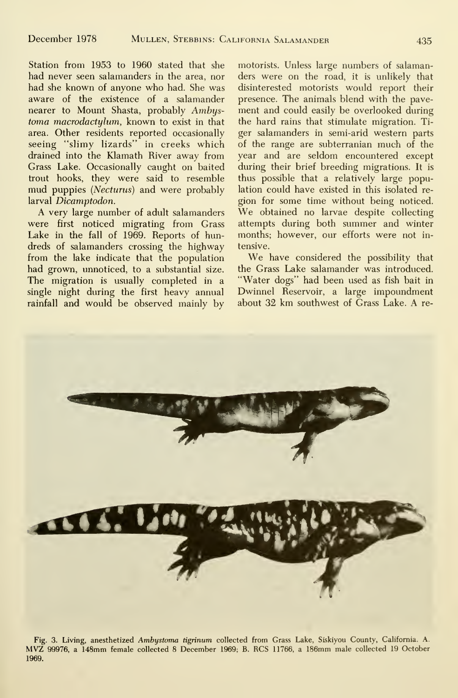Station from 1953 to 1960 stated that she had never seen salamanders in the area, nor had she known of anyone who had. She was aware of the existence of a salamander nearer to Mount Shasta, probably Ambystoma macrodactylum, known to exist in that area. Other residents reported occasionally seeing "slimy lizards" in creeks which drained into the Klamath River away from Grass Lake. Occasionally caught on baited trout hooks, they were said to resemble mud puppies (Necturus) and were probably lation could have existed in this isolated re-<br>larval Dicamptodon. existing poticed. larval Dicamptodon.

A very large number of adult salamanders were first noticed migrating from Grass Lake in the fall of 1969. Reports of hundreds of salamanders crossing the highway from the lake indicate that the population had grown, unnoticed, to a substantial size. The migration is usually completed in a single night during the first heavy annual rainfall and would be observed mainly by

motorists. Unless large numbers of salamanders were on the road, it is unlikely that disinterested motorists would report their presence. The animals blend with the pave ment and could easily be overlooked during the hard rains that stimulate migration. Ti ger salamanders in semi-arid western parts of the range are subterranian much of the year and are seldom encountered except during their brief breeding migrations. It is thus possible that a relatively large population could have existed in this isolated re- We obtained no larvae despite collecting attempts during both summer and winter months; however, our efforts were not in tensive.

We have considered the possibility that the Grass Lake salamander was introduced. "Water dogs" had been used as fish bait in Dwinnel Reservoir, a large impoundment about 32 km southwest of Grass Lake. A re-



Fig. 3. Living, anesthetized Ambystoma tigrinum collected from Grass Lake, Siskiyou County, California. A. MVZ 99976, <sup>a</sup> 148mm female collected <sup>8</sup> December 1969; B. RCS 11766, <sup>a</sup> 186mm male collected <sup>19</sup> October 1969.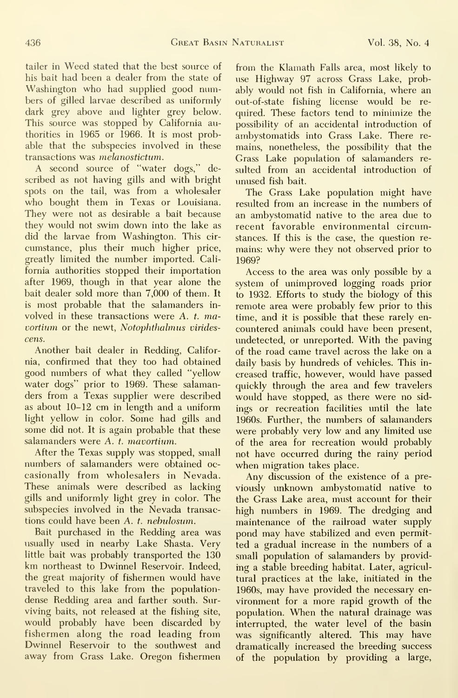tailer in Weed stated that the best source of his bait had been a dealer from the state of Washington who had supplied good numbers of gilled larvae described as uniformly dark grey above and lighter grey below. This source was stopped by California authorities in 1965 or 1966. It is most probable that the subspecies involved in these transactions was melanostictum.

A second source of "water dogs," de scribed as not having gills and with bright spots on the tail, was from a wholesaler who bought them in Texas or Louisiana. They were not as desirable a bait because they would not swim down into the lake as did the larvae from Washington. This cir cumstance, plus their much higher price, greatly limited the number imported. Cali fornia authorities stopped their importation after 1969, though in that year alone the bait dealer sold more than 7,000 of them. It is most probable that the salamanders in volved in these transactions were A. t. mavortium or the newt, Notophthalmus virides cens.

Another bait dealer in Redding, California, confirmed that they too had obtained good numbers of what they called "yellow water dogs" prior to 1969. These salamanders from a Texas supplier were described as about 10-12 cm in length and a uniform light yellow in color. Some had gills and some did not. It is again probable that these salamanders were A. t. mavortium.

After the Texas supply was stopped, small numbers of salamanders were obtained oc casionally from wholesalers in Nevada. These animals were described as lacking gills and uniformly light grey in color. The subspecies involved in the Nevada transactions could have been A. t. nebulosum.

Bait purchased in the Redding area was usually used in nearby Lake Shasta. Very little bait was probably transported the 130 km northeast to Dwinnel Reservoir. Indeed, the great majority of fishermen would have traveled to this lake from the populationdense Redding area and farther south. Sur viving baits, not released at the fishing site, would probably have been discarded by fishermen along the road leading from Dwinnel Reservoir to the southwest and away from Grass Lake. Oregon fishermen from the Klamath Falls area, most likely to use Highway 97 across Grass Lake, probably would not fish in California, where an out-of-state fishing license would be re quired. These factors tend to minimize the possibility of an accidental introduction of ambystomatids into Grass Lake. There re mains, nonetheless, the possibility that the Grass Lake population of salamanders re sulted from an accidental introduction of unused fish bait.

The Grass Lake population might have resulted from an increase in the numbers of an ambystomatid native to the area due to recent favorable environmental circumstances. If this is the case, the question re mains: why were they not observed prior to 1969?

Access to the area was only possible by a system of unimproved logging roads prior to 1932. Efforts to study the biology of this remote area were probably few prior to this time, and it is possible that these rarely encountered animals could have been present, undetected, or unreported. With the paving of the road came travel across the lake on a daily basis by hundreds of vehicles. This in creased traffic, however, would have passed quickly through the area and few travelers would have stopped, as there were no sid ings or recreation facilities until the late 1960s. Further, the numbers of salamanders were probably very low and any limited use of the area for recreation would probably not have occurred during the rainy period when migration takes place.

Any discussion of the existence of a pre viously unknown ambystomatid native to the Grass Lake area, must account for their high numbers in 1969. The dredging and maintenance of the railroad water supply pond may have stabilized and even permitted a gradual increase in the numbers of a small population of salamanders by providing a stable breeding habitat. Later, agricultural practices at the lake, initiated in the 1960s, may have provided the necessary en vironment for a more rapid growth of the population. When the natural drainage was interrupted, the water level of the basin was significantly altered. This may have dramatically increased the breeding success of the population by providing a large.